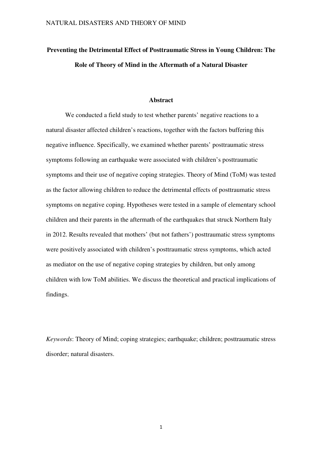# **Preventing the Detrimental Effect of Posttraumatic Stress in Young Children: The Role of Theory of Mind in the Aftermath of a Natural Disaster**

#### **Abstract**

We conducted a field study to test whether parents' negative reactions to a natural disaster affected children's reactions, together with the factors buffering this negative influence. Specifically, we examined whether parents' posttraumatic stress symptoms following an earthquake were associated with children's posttraumatic symptoms and their use of negative coping strategies. Theory of Mind (ToM) was tested as the factor allowing children to reduce the detrimental effects of posttraumatic stress symptoms on negative coping. Hypotheses were tested in a sample of elementary school children and their parents in the aftermath of the earthquakes that struck Northern Italy in 2012. Results revealed that mothers' (but not fathers') posttraumatic stress symptoms were positively associated with children's posttraumatic stress symptoms, which acted as mediator on the use of negative coping strategies by children, but only among children with low ToM abilities. We discuss the theoretical and practical implications of findings.

*Keywords*: Theory of Mind; coping strategies; earthquake; children; posttraumatic stress disorder; natural disasters.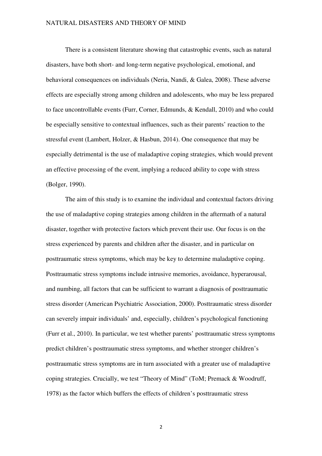There is a consistent literature showing that catastrophic events, such as natural disasters, have both short- and long-term negative psychological, emotional, and behavioral consequences on individuals (Neria, Nandi, & Galea, 2008). These adverse effects are especially strong among children and adolescents, who may be less prepared to face uncontrollable events (Furr, Corner, Edmunds, & Kendall, 2010) and who could be especially sensitive to contextual influences, such as their parents' reaction to the stressful event (Lambert, Holzer, & Hasbun, 2014). One consequence that may be especially detrimental is the use of maladaptive coping strategies, which would prevent an effective processing of the event, implying a reduced ability to cope with stress (Bolger, 1990).

The aim of this study is to examine the individual and contextual factors driving the use of maladaptive coping strategies among children in the aftermath of a natural disaster, together with protective factors which prevent their use. Our focus is on the stress experienced by parents and children after the disaster, and in particular on posttraumatic stress symptoms, which may be key to determine maladaptive coping. Posttraumatic stress symptoms include intrusive memories, avoidance, hyperarousal, and numbing, all factors that can be sufficient to warrant a diagnosis of posttraumatic stress disorder (American Psychiatric Association, 2000). Posttraumatic stress disorder can severely impair individuals' and, especially, children's psychological functioning (Furr et al., 2010). In particular, we test whether parents' posttraumatic stress symptoms predict children's posttraumatic stress symptoms, and whether stronger children's posttraumatic stress symptoms are in turn associated with a greater use of maladaptive coping strategies. Crucially, we test "Theory of Mind" (ToM; Premack & Woodruff, 1978) as the factor which buffers the effects of children's posttraumatic stress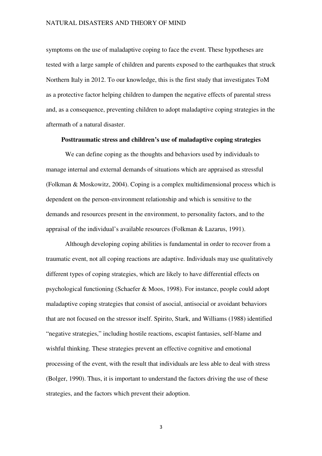symptoms on the use of maladaptive coping to face the event. These hypotheses are tested with a large sample of children and parents exposed to the earthquakes that struck Northern Italy in 2012. To our knowledge, this is the first study that investigates ToM as a protective factor helping children to dampen the negative effects of parental stress and, as a consequence, preventing children to adopt maladaptive coping strategies in the aftermath of a natural disaster.

### **Posttraumatic stress and children's use of maladaptive coping strategies**

We can define coping as the thoughts and behaviors used by individuals to manage internal and external demands of situations which are appraised as stressful (Folkman & Moskowitz, 2004). Coping is a complex multidimensional process which is dependent on the person-environment relationship and which is sensitive to the demands and resources present in the environment, to personality factors, and to the appraisal of the individual's available resources (Folkman & Lazarus, 1991).

Although developing coping abilities is fundamental in order to recover from a traumatic event, not all coping reactions are adaptive. Individuals may use qualitatively different types of coping strategies, which are likely to have differential effects on psychological functioning (Schaefer & Moos, 1998). For instance, people could adopt maladaptive coping strategies that consist of asocial, antisocial or avoidant behaviors that are not focused on the stressor itself. Spirito, Stark, and Williams (1988) identified "negative strategies," including hostile reactions, escapist fantasies, self-blame and wishful thinking. These strategies prevent an effective cognitive and emotional processing of the event, with the result that individuals are less able to deal with stress (Bolger, 1990). Thus, it is important to understand the factors driving the use of these strategies, and the factors which prevent their adoption.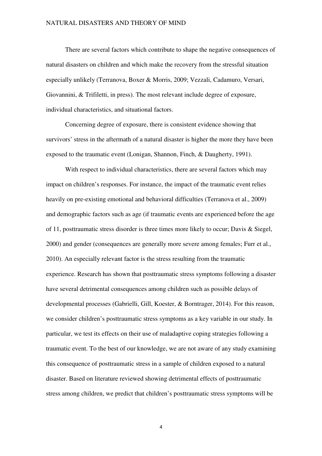There are several factors which contribute to shape the negative consequences of natural disasters on children and which make the recovery from the stressful situation especially unlikely (Terranova, Boxer & Morris, 2009; Vezzali, Cadamuro, Versari, Giovannini, & Trifiletti, in press). The most relevant include degree of exposure, individual characteristics, and situational factors.

Concerning degree of exposure, there is consistent evidence showing that survivors' stress in the aftermath of a natural disaster is higher the more they have been exposed to the traumatic event (Lonigan, Shannon, Finch, & Daugherty, 1991).

With respect to individual characteristics, there are several factors which may impact on children's responses. For instance, the impact of the traumatic event relies heavily on pre-existing emotional and behavioral difficulties (Terranova et al., 2009) and demographic factors such as age (if traumatic events are experienced before the age of 11, posttraumatic stress disorder is three times more likely to occur; Davis & Siegel, 2000) and gender (consequences are generally more severe among females; Furr et al., 2010). An especially relevant factor is the stress resulting from the traumatic experience. Research has shown that posttraumatic stress symptoms following a disaster have several detrimental consequences among children such as possible delays of developmental processes (Gabrielli, Gill, Koester, & Borntrager, 2014). For this reason, we consider children's posttraumatic stress symptoms as a key variable in our study. In particular, we test its effects on their use of maladaptive coping strategies following a traumatic event. To the best of our knowledge, we are not aware of any study examining this consequence of posttraumatic stress in a sample of children exposed to a natural disaster. Based on literature reviewed showing detrimental effects of posttraumatic stress among children, we predict that children's posttraumatic stress symptoms will be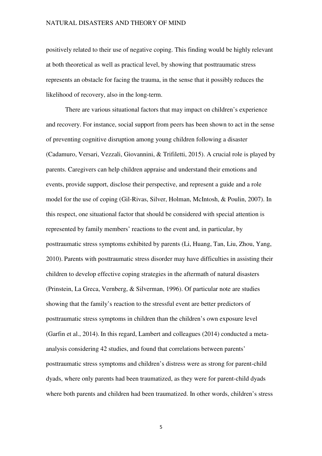positively related to their use of negative coping. This finding would be highly relevant at both theoretical as well as practical level, by showing that posttraumatic stress represents an obstacle for facing the trauma, in the sense that it possibly reduces the likelihood of recovery, also in the long-term.

There are various situational factors that may impact on children's experience and recovery. For instance, social support from peers has been shown to act in the sense of preventing cognitive disruption among young children following a disaster (Cadamuro, Versari, Vezzali, Giovannini, & Trifiletti, 2015). A crucial role is played by parents. Caregivers can help children appraise and understand their emotions and events, provide support, disclose their perspective, and represent a guide and a role model for the use of coping (Gil-Rivas, Silver, Holman, McIntosh, & Poulin, 2007). In this respect, one situational factor that should be considered with special attention is represented by family members' reactions to the event and, in particular, by posttraumatic stress symptoms exhibited by parents (Li, Huang, Tan, Liu, Zhou, Yang, 2010). Parents with posttraumatic stress disorder may have difficulties in assisting their children to develop effective coping strategies in the aftermath of natural disasters (Prinstein, La Greca, Vernberg, & Silverman, 1996). Of particular note are studies showing that the family's reaction to the stressful event are better predictors of posttraumatic stress symptoms in children than the children's own exposure level (Garfin et al., 2014). In this regard, Lambert and colleagues (2014) conducted a metaanalysis considering 42 studies, and found that correlations between parents' posttraumatic stress symptoms and children's distress were as strong for parent-child dyads, where only parents had been traumatized, as they were for parent-child dyads where both parents and children had been traumatized. In other words, children's stress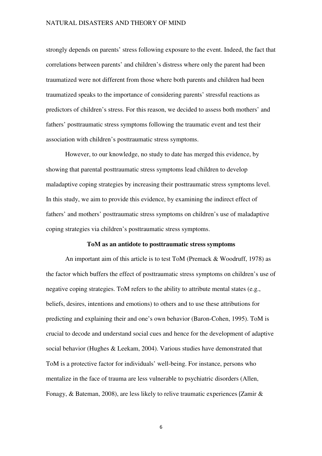strongly depends on parents' stress following exposure to the event. Indeed, the fact that correlations between parents' and children's distress where only the parent had been traumatized were not different from those where both parents and children had been traumatized speaks to the importance of considering parents' stressful reactions as predictors of children's stress. For this reason, we decided to assess both mothers' and fathers' posttraumatic stress symptoms following the traumatic event and test their association with children's posttraumatic stress symptoms.

However, to our knowledge, no study to date has merged this evidence, by showing that parental posttraumatic stress symptoms lead children to develop maladaptive coping strategies by increasing their posttraumatic stress symptoms level. In this study, we aim to provide this evidence, by examining the indirect effect of fathers' and mothers' posttraumatic stress symptoms on children's use of maladaptive coping strategies via children's posttraumatic stress symptoms.

#### **ToM as an antidote to posttraumatic stress symptoms**

An important aim of this article is to test ToM (Premack & Woodruff, 1978) as the factor which buffers the effect of posttraumatic stress symptoms on children's use of negative coping strategies. ToM refers to the ability to attribute mental states (e.g., beliefs, desires, intentions and emotions) to others and to use these attributions for predicting and explaining their and one's own behavior (Baron-Cohen, 1995). ToM is crucial to decode and understand social cues and hence for the development of adaptive social behavior (Hughes & Leekam, 2004). Various studies have demonstrated that ToM is a protective factor for individuals' well-being. For instance, persons who mentalize in the face of trauma are less vulnerable to psychiatric disorders (Allen, Fonagy, & Bateman, 2008), are less likely to relive traumatic experiences (Zamir &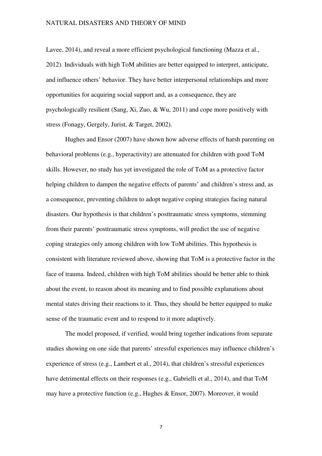Lavee, 2014), and reveal a more efficient psychological functioning (Mazza et al., 2012). Individuals with high ToM abilities are better equipped to interpret, anticipate, and influence others' behavior. They have better interpersonal relationships and more opportunities for acquiring social support and, as a consequence, they are psychologically resilient (Sang, Xi, Zuo, & Wu, 2011) and cope more positively with stress (Fonagy, Gergely, Jurist, & Target, 2002).

Hughes and Ensor (2007) have shown how adverse effects of harsh parenting on behavioral problems (e.g., hyperactivity) are attenuated for children with good ToM skills. However, no study has yet investigated the role of ToM as a protective factor helping children to dampen the negative effects of parents' and children's stress and, as a consequence, preventing children to adopt negative coping strategies facing natural disasters. Our hypothesis is that children's posttraumatic stress symptoms, stemming from their parents' posttraumatic stress symptoms, will predict the use of negative coping strategies only among children with low ToM abilities. This hypothesis is consistent with literature reviewed above, showing that ToM is a protective factor in the face of trauma. Indeed, children with high ToM abilities should be better able to think about the event, to reason about its meaning and to find possible explanations about mental states driving their reactions to it. Thus, they should be better equipped to make sense of the traumatic event and to respond to it more adaptively.

The model proposed, if verified, would bring together indications from separate studies showing on one side that parents' stressful experiences may influence children's experience of stress (e.g., Lambert et al., 2014), that children's stressful experiences have detrimental effects on their responses (e.g., Gabrielli et al., 2014), and that ToM may have a protective function (e.g., Hughes & Ensor, 2007). Moreover, it would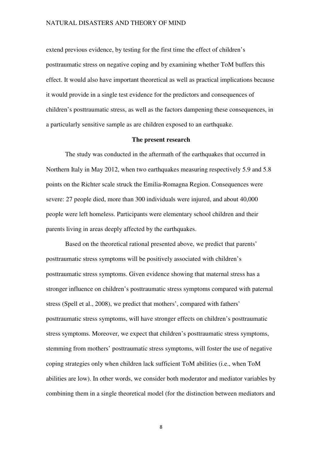extend previous evidence, by testing for the first time the effect of children's posttraumatic stress on negative coping and by examining whether ToM buffers this effect. It would also have important theoretical as well as practical implications because it would provide in a single test evidence for the predictors and consequences of children's posttraumatic stress, as well as the factors dampening these consequences, in a particularly sensitive sample as are children exposed to an earthquake.

#### **The present research**

The study was conducted in the aftermath of the earthquakes that occurred in Northern Italy in May 2012, when two earthquakes measuring respectively 5.9 and 5.8 points on the Richter scale struck the Emilia-Romagna Region. Consequences were severe: 27 people died, more than 300 individuals were injured, and about 40,000 people were left homeless. Participants were elementary school children and their parents living in areas deeply affected by the earthquakes.

Based on the theoretical rational presented above, we predict that parents' posttraumatic stress symptoms will be positively associated with children's posttraumatic stress symptoms. Given evidence showing that maternal stress has a stronger influence on children's posttraumatic stress symptoms compared with paternal stress (Spell et al., 2008), we predict that mothers', compared with fathers' posttraumatic stress symptoms, will have stronger effects on children's posttraumatic stress symptoms. Moreover, we expect that children's posttraumatic stress symptoms, stemming from mothers' posttraumatic stress symptoms, will foster the use of negative coping strategies only when children lack sufficient ToM abilities (i.e., when ToM abilities are low). In other words, we consider both moderator and mediator variables by combining them in a single theoretical model (for the distinction between mediators and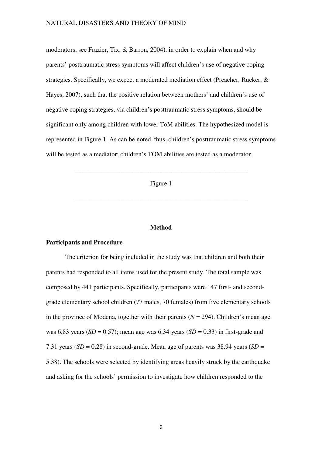moderators, see Frazier, Tix, & Barron, 2004), in order to explain when and why parents' posttraumatic stress symptoms will affect children's use of negative coping strategies. Specifically, we expect a moderated mediation effect (Preacher, Rucker, & Hayes, 2007), such that the positive relation between mothers' and children's use of negative coping strategies, via children's posttraumatic stress symptoms, should be significant only among children with lower ToM abilities. The hypothesized model is represented in Figure 1. As can be noted, thus, children's posttraumatic stress symptoms will be tested as a mediator; children's TOM abilities are tested as a moderator.

Figure 1

\_\_\_\_\_\_\_\_\_\_\_\_\_\_\_\_\_\_\_\_\_\_\_\_\_\_\_\_\_\_\_\_\_\_\_\_\_\_\_\_\_\_\_\_\_\_\_\_\_\_\_\_\_

\_\_\_\_\_\_\_\_\_\_\_\_\_\_\_\_\_\_\_\_\_\_\_\_\_\_\_\_\_\_\_\_\_\_\_\_\_\_\_\_\_\_\_\_\_\_\_\_\_\_\_\_\_

#### **Method**

#### **Participants and Procedure**

The criterion for being included in the study was that children and both their parents had responded to all items used for the present study. The total sample was composed by 441 participants. Specifically, participants were 147 first- and secondgrade elementary school children (77 males, 70 females) from five elementary schools in the province of Modena, together with their parents  $(N = 294)$ . Children's mean age was 6.83 years ( $SD = 0.57$ ); mean age was 6.34 years ( $SD = 0.33$ ) in first-grade and 7.31 years  $(SD = 0.28)$  in second-grade. Mean age of parents was 38.94 years  $(SD = 1.28)$ 5.38). The schools were selected by identifying areas heavily struck by the earthquake and asking for the schools' permission to investigate how children responded to the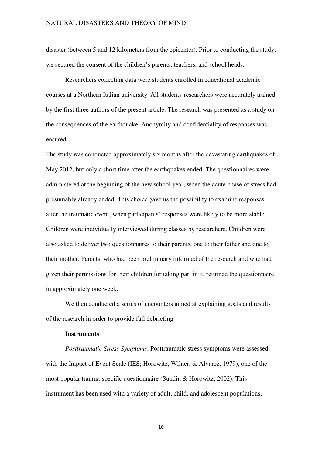disaster (between 5 and 12 kilometers from the epicenter). Prior to conducting the study, we secured the consent of the children's parents, teachers, and school heads.

Researchers collecting data were students enrolled in educational academic courses at a Northern Italian university. All students-researchers were accurately trained by the first three authors of the present article. The research was presented as a study on the consequences of the earthquake. Anonymity and confidentiality of responses was ensured.

The study was conducted approximately six months after the devastating earthquakes of May 2012, but only a short time after the earthquakes ended. The questionnaires were administered at the beginning of the new school year, when the acute phase of stress had presumably already ended. This choice gave us the possibility to examine responses after the traumatic event, when participants' responses were likely to be more stable. Children were individually interviewed during classes by researchers. Children were also asked to deliver two questionnaires to their parents, one to their father and one to their mother. Parents, who had been preliminary informed of the research and who had given their permissions for their children for taking part in it, returned the questionnaire in approximately one week.

We then conducted a series of encounters aimed at explaining goals and results of the research in order to provide full debriefing.

### **Instruments**

*Posttraumatic Stress Symptoms*. Posttraumatic stress symptoms were assessed with the Impact of Event Scale (IES; Horowitz, Wilner, & Alvarez, 1979), one of the most popular trauma-specific questionnaire (Sundin & Horowitz, 2002). This instrument has been used with a variety of adult, child, and adolescent populations,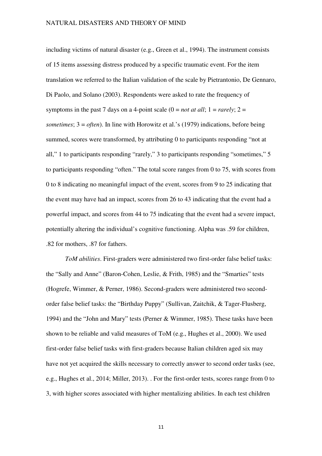including victims of natural disaster (e.g., Green et al., 1994). The instrument consists of 15 items assessing distress produced by a specific traumatic event. For the item translation we referred to the Italian validation of the scale by Pietrantonio, De Gennaro, Di Paolo, and Solano (2003). Respondents were asked to rate the frequency of symptoms in the past 7 days on a 4-point scale  $(0 = not at all; 1 = rarely; 2 =$ *sometimes*; 3 = *often*). In line with Horowitz et al.'s (1979) indications, before being summed, scores were transformed, by attributing 0 to participants responding "not at all," 1 to participants responding "rarely," 3 to participants responding "sometimes," 5 to participants responding "often." The total score ranges from 0 to 75, with scores from 0 to 8 indicating no meaningful impact of the event, scores from 9 to 25 indicating that the event may have had an impact, scores from 26 to 43 indicating that the event had a powerful impact, and scores from 44 to 75 indicating that the event had a severe impact, potentially altering the individual's cognitive functioning. Alpha was .59 for children, .82 for mothers, .87 for fathers.

*ToM abilities*. First-graders were administered two first-order false belief tasks: the "Sally and Anne" (Baron-Cohen, Leslie, & Frith, 1985) and the "Smarties" tests (Hogrefe, Wimmer, & Perner, 1986). Second-graders were administered two secondorder false belief tasks: the "Birthday Puppy" (Sullivan, Zaitchik, & Tager-Flusberg, 1994) and the "John and Mary" tests (Perner & Wimmer, 1985). These tasks have been shown to be reliable and valid measures of ToM (e.g., Hughes et al., 2000). We used first-order false belief tasks with first-graders because Italian children aged six may have not yet acquired the skills necessary to correctly answer to second order tasks (see, e.g., Hughes et al., 2014; Miller, 2013). . For the first-order tests, scores range from 0 to 3, with higher scores associated with higher mentalizing abilities. In each test children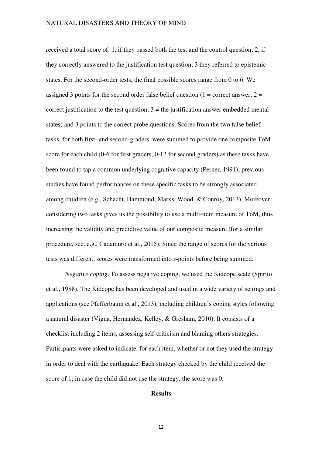received a total score of: 1, if they passed both the test and the control question; 2, if they correctly answered to the justification test question; 3 they referred to epistemic states. For the second-order tests, the final possible scores range from 0 to 6. We assigned 3 points for the second order false belief question  $(1 = \text{correct answer}; 2 =$ correct justification to the test question;  $3 =$  the justification answer embedded mental states) and 3 points to the correct probe questions. Scores from the two false belief tasks, for both first- and second-graders, were summed to provide one composite ToM score for each child (0-6 for first graders, 0-12 for second graders) as these tasks have been found to tap a common underlying cognitive capacity (Perner, 1991); previous studies have found performances on these specific tasks to be strongly associated among children (e.g., Schacht, Hammond, Marks, Wood, & Conroy, 2013). Moreover, considering two tasks gives us the possibility to use a multi-item measure of ToM, thus increasing the validity and predictive value of our composite measure (for a similar procedure, see, e.g., Cadamuro et al., 2015). Since the range of scores for the various tests was different, scores were transformed into *z*-points before being summed.

*Negative coping*. To assess negative coping, we used the Kidcope scale (Spirito et al., 1988). The Kidcope has been developed and used in a wide variety of settings and applications (see Pfefferbaum et al., 2013), including children's coping styles following a natural disaster (Vigna, Hernandez, Kelley, & Gresham, 2010). It consists of a checklist including 2 items, assessing self-criticism and blaming others strategies. Participants were asked to indicate, for each item, whether or not they used the strategy in order to deal with the earthquake. Each strategy checked by the child received the score of 1; in case the child did not use the strategy, the score was 0.

# **Results**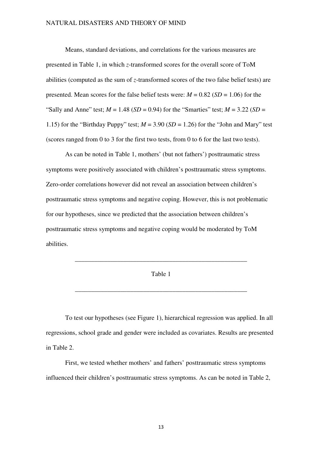Means, standard deviations, and correlations for the various measures are presented in Table 1, in which *z*-transformed scores for the overall score of ToM abilities (computed as the sum of *z*-transformed scores of the two false belief tests) are presented. Mean scores for the false belief tests were:  $M = 0.82$  (*SD* = 1.06) for the "Sally and Anne" test;  $M = 1.48$  (*SD* = 0.94) for the "Smarties" test;  $M = 3.22$  (*SD* = 1.15) for the "Birthday Puppy" test;  $M = 3.90$  (*SD* = 1.26) for the "John and Mary" test (scores ranged from 0 to 3 for the first two tests, from 0 to 6 for the last two tests).

As can be noted in Table 1, mothers' (but not fathers') posttraumatic stress symptoms were positively associated with children's posttraumatic stress symptoms. Zero-order correlations however did not reveal an association between children's posttraumatic stress symptoms and negative coping. However, this is not problematic for our hypotheses, since we predicted that the association between children's posttraumatic stress symptoms and negative coping would be moderated by ToM abilities.

#### Table 1

\_\_\_\_\_\_\_\_\_\_\_\_\_\_\_\_\_\_\_\_\_\_\_\_\_\_\_\_\_\_\_\_\_\_\_\_\_\_\_\_\_\_\_\_\_\_\_\_\_\_\_\_\_

\_\_\_\_\_\_\_\_\_\_\_\_\_\_\_\_\_\_\_\_\_\_\_\_\_\_\_\_\_\_\_\_\_\_\_\_\_\_\_\_\_\_\_\_\_\_\_\_\_\_\_\_\_

To test our hypotheses (see Figure 1), hierarchical regression was applied. In all regressions, school grade and gender were included as covariates. Results are presented in Table 2.

First, we tested whether mothers' and fathers' posttraumatic stress symptoms influenced their children's posttraumatic stress symptoms. As can be noted in Table 2,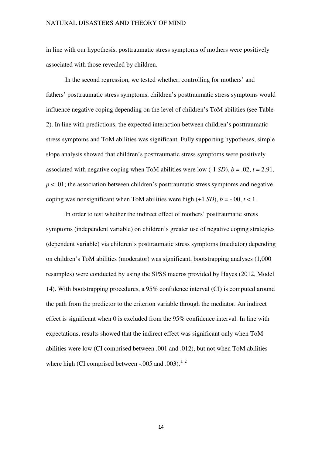in line with our hypothesis, posttraumatic stress symptoms of mothers were positively associated with those revealed by children.

In the second regression, we tested whether, controlling for mothers' and fathers' posttraumatic stress symptoms, children's posttraumatic stress symptoms would influence negative coping depending on the level of children's ToM abilities (see Table 2). In line with predictions, the expected interaction between children's posttraumatic stress symptoms and ToM abilities was significant. Fully supporting hypotheses, simple slope analysis showed that children's posttraumatic stress symptoms were positively associated with negative coping when ToM abilities were low  $(-1 SD)$ ,  $b = .02$ ,  $t = 2.91$ ,  $p < .01$ ; the association between children's posttraumatic stress symptoms and negative coping was nonsignificant when ToM abilities were high  $(+1 SD)$ ,  $b = -0.00$ ,  $t < 1$ .

In order to test whether the indirect effect of mothers' posttraumatic stress symptoms (independent variable) on children's greater use of negative coping strategies (dependent variable) via children's posttraumatic stress symptoms (mediator) depending on children's ToM abilities (moderator) was significant, bootstrapping analyses (1,000 resamples) were conducted by using the SPSS macros provided by Hayes (2012, Model 14). With bootstrapping procedures, a 95% confidence interval (CI) is computed around the path from the predictor to the criterion variable through the mediator. An indirect effect is significant when 0 is excluded from the 95% confidence interval. In line with expectations, results showed that the indirect effect was significant only when ToM abilities were low (CI comprised between .001 and .012), but not when ToM abilities where high (CI comprised between  $-.005$  and  $.003$ ).<sup>1, 2</sup>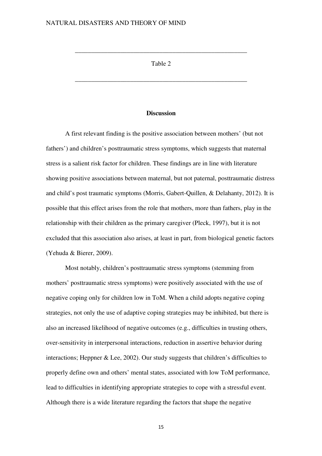## Table 2

\_\_\_\_\_\_\_\_\_\_\_\_\_\_\_\_\_\_\_\_\_\_\_\_\_\_\_\_\_\_\_\_\_\_\_\_\_\_\_\_\_\_\_\_\_\_\_\_\_\_\_\_\_

\_\_\_\_\_\_\_\_\_\_\_\_\_\_\_\_\_\_\_\_\_\_\_\_\_\_\_\_\_\_\_\_\_\_\_\_\_\_\_\_\_\_\_\_\_\_\_\_\_\_\_\_\_

### **Discussion**

A first relevant finding is the positive association between mothers' (but not fathers') and children's posttraumatic stress symptoms, which suggests that maternal stress is a salient risk factor for children. These findings are in line with literature showing positive associations between maternal, but not paternal, posttraumatic distress and child's post traumatic symptoms (Morris, Gabert-Quillen, & Delahanty, 2012). It is possible that this effect arises from the role that mothers, more than fathers, play in the relationship with their children as the primary caregiver (Pleck, 1997), but it is not excluded that this association also arises, at least in part, from biological genetic factors (Yehuda & Bierer, 2009).

Most notably, children's posttraumatic stress symptoms (stemming from mothers' posttraumatic stress symptoms) were positively associated with the use of negative coping only for children low in ToM. When a child adopts negative coping strategies, not only the use of adaptive coping strategies may be inhibited, but there is also an increased likelihood of negative outcomes (e.g., difficulties in trusting others, over-sensitivity in interpersonal interactions, reduction in assertive behavior during interactions; Heppner & Lee, 2002). Our study suggests that children's difficulties to properly define own and others' mental states, associated with low ToM performance, lead to difficulties in identifying appropriate strategies to cope with a stressful event. Although there is a wide literature regarding the factors that shape the negative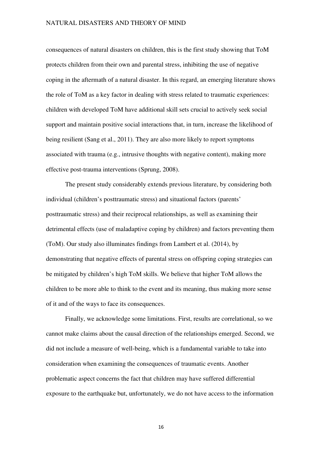consequences of natural disasters on children, this is the first study showing that ToM protects children from their own and parental stress, inhibiting the use of negative coping in the aftermath of a natural disaster. In this regard, an emerging literature shows the role of ToM as a key factor in dealing with stress related to traumatic experiences: children with developed ToM have additional skill sets crucial to actively seek social support and maintain positive social interactions that, in turn, increase the likelihood of being resilient (Sang et al., 2011). They are also more likely to report symptoms associated with trauma (e.g., intrusive thoughts with negative content), making more effective post-trauma interventions (Sprung, 2008).

The present study considerably extends previous literature, by considering both individual (children's posttraumatic stress) and situational factors (parents' posttraumatic stress) and their reciprocal relationships, as well as examining their detrimental effects (use of maladaptive coping by children) and factors preventing them (ToM). Our study also illuminates findings from Lambert et al. (2014), by demonstrating that negative effects of parental stress on offspring coping strategies can be mitigated by children's high ToM skills. We believe that higher ToM allows the children to be more able to think to the event and its meaning, thus making more sense of it and of the ways to face its consequences.

Finally, we acknowledge some limitations. First, results are correlational, so we cannot make claims about the causal direction of the relationships emerged. Second, we did not include a measure of well-being, which is a fundamental variable to take into consideration when examining the consequences of traumatic events. Another problematic aspect concerns the fact that children may have suffered differential exposure to the earthquake but, unfortunately, we do not have access to the information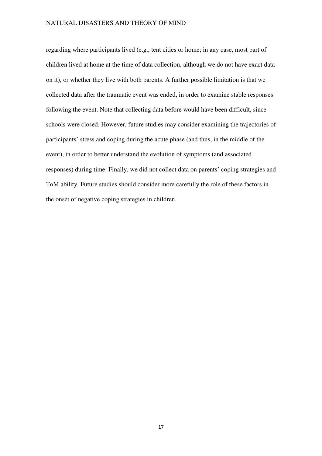regarding where participants lived (e.g., tent cities or home; in any case, most part of children lived at home at the time of data collection, although we do not have exact data on it), or whether they live with both parents. A further possible limitation is that we collected data after the traumatic event was ended, in order to examine stable responses following the event. Note that collecting data before would have been difficult, since schools were closed. However, future studies may consider examining the trajectories of participants' stress and coping during the acute phase (and thus, in the middle of the event), in order to better understand the evolution of symptoms (and associated responses) during time. Finally, we did not collect data on parents' coping strategies and ToM ability. Future studies should consider more carefully the role of these factors in the onset of negative coping strategies in children.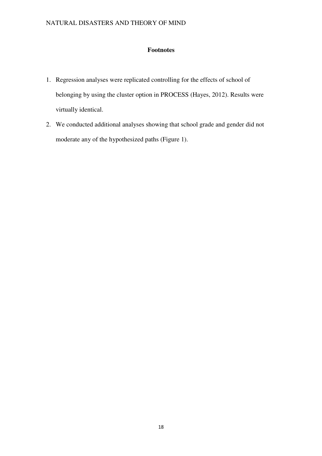# **Footnotes**

- 1. Regression analyses were replicated controlling for the effects of school of belonging by using the cluster option in PROCESS (Hayes, 2012). Results were virtually identical.
- 2. We conducted additional analyses showing that school grade and gender did not moderate any of the hypothesized paths (Figure 1).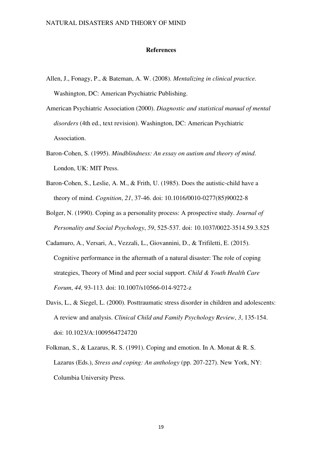#### **References**

- Allen, J., Fonagy, P., & Bateman, A. W. (2008). *Mentalizing in clinical practice.*  Washington, DC: American Psychiatric Publishing.
- American Psychiatric Association (2000). *Diagnostic and statistical manual of mental disorders* (4th ed., text revision). Washington, DC: American Psychiatric Association.
- Baron-Cohen, S. (1995). *Mindblindness: An essay on autism and theory of mind*. London, UK: MIT Press.
- Baron-Cohen, S., Leslie, A. M., & Frith, U. (1985). Does the autistic-child have a theory of mind. *Cognition*, *21*, 37-46. doi: 10.1016/0010-0277(85)90022-8
- Bolger, N. (1990). Coping as a personality process: A prospective study. *Journal of Personality and Social Psychology*, *59*, 525-537. doi: 10.1037/0022-3514.59.3.525
- Cadamuro, A., Versari, A., Vezzali, L., Giovannini, D., & Trifiletti, E. (2015). Cognitive performance in the aftermath of a natural disaster: The role of coping strategies, Theory of Mind and peer social support. *Child & Youth Health Care Forum*, *44,* 93-113*.* doi: 10.1007/s10566-014-9272-z
- Davis, L., & Siegel, L. (2000). Posttraumatic stress disorder in children and adolescents: A review and analysis. *Clinical Child and Family Psychology Review*, *3*, 135-154. doi: 10.1023/A:1009564724720
- Folkman, S., & Lazarus, R. S. (1991). Coping and emotion. In A. Monat & R. S. Lazarus (Eds.), *Stress and coping: An anthology* (pp. 207-227). New York, NY: Columbia University Press.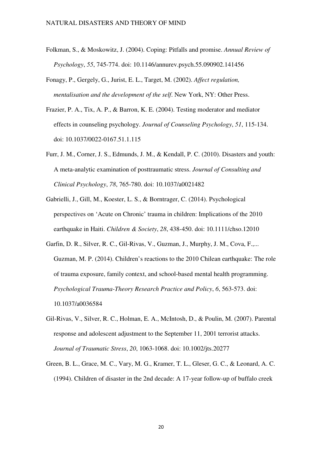- Folkman, S., & Moskowitz, J. (2004). Coping: Pitfalls and promise. *Annual Review of Psychology*, *55*, 745-774. doi: 10.1146/annurev.psych.55.090902.141456
- Fonagy, P., Gergely, G., Jurist, E. L., Target, M. (2002). *Affect regulation, mentalisation and the development of the self*. New York, NY: Other Press.
- Frazier, P. A., Tix, A. P., & Barron, K. E. (2004). Testing moderator and mediator effects in counseling psychology. *Journal of Counseling Psychology*, *51*, 115-134. doi: 10.1037/0022-0167.51.1.115
- Furr, J. M., Corner, J. S., Edmunds, J. M., & Kendall, P. C. (2010). Disasters and youth: A meta-analytic examination of posttraumatic stress. *Journal of Consulting and Clinical Psychology*, *78*, 765-780. doi: 10.1037/a0021482
- Gabrielli, J., Gill, M., Koester, L. S., & Borntrager, C. (2014). Psychological perspectives on 'Acute on Chronic' trauma in children: Implications of the 2010 earthquake in Haiti. *Children & Society*, *28*, 438-450. doi: 10.1111/chso.12010
- Garfin, D. R., Silver, R. C., Gil-Rivas, V., Guzman, J., Murphy, J. M., Cova, F.,... Guzman, M. P. (2014). Children's reactions to the 2010 Chilean earthquake: The role of trauma exposure, family context, and school-based mental health programming. *Psychological Trauma-Theory Research Practice and Policy*, *6*, 563-573. doi: 10.1037/a0036584
- Gil-Rivas, V., Silver, R. C., Holman, E. A., McIntosh, D., & Poulin, M. (2007). Parental response and adolescent adjustment to the September 11, 2001 terrorist attacks. *Journal of Traumatic Stress*, *20*, 1063-1068. doi: 10.1002/jts.20277
- Green, B. L., Grace, M. C., Vary, M. G., Kramer, T. L., Gleser, G. C., & Leonard, A. C. (1994). Children of disaster in the 2nd decade: A 17-year follow-up of buffalo creek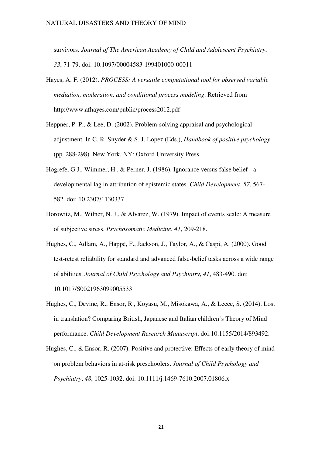survivors. *Journal of The American Academy of Child and Adolescent Psychiatry*, *33*, 71-79. doi: 10.1097/00004583-199401000-00011

- Hayes, A. F. (2012). *PROCESS: A versatile computational tool for observed variable mediation, moderation, and conditional process modeling*. Retrieved from http://www.afhayes.com/public/process2012.pdf
- Heppner, P. P., & Lee, D. (2002). Problem-solving appraisal and psychological adjustment. In C. R. Snyder & S. J. Lopez (Eds.), *Handbook of positive psychology* (pp. 288-298). New York, NY: Oxford University Press.
- Hogrefe, G.J., Wimmer, H., & Perner, J. (1986). Ignorance versus false belief a developmental lag in attribution of epistemic states. *Child Development*, *57*, 567- 582. doi: 10.2307/1130337
- Horowitz, M., Wilner, N. J., & Alvarez, W. (1979). Impact of events scale: A measure of subjective stress. *Psychosomatic Medicine*, *41*, 209-218.
- Hughes, C., Adlam, A., Happé, F., Jackson, J., Taylor, A., & Caspi, A. (2000). Good test-retest reliability for standard and advanced false-belief tasks across a wide range of abilities. *Journal of Child Psychology and Psychiatry*, *41*, 483-490. doi: 10.1017/S0021963099005533
- Hughes, C., Devine, R., Ensor, R., Koyasu, M., Misokawa, A., & Lecce, S. (2014). Lost in translation? Comparing British, Japanese and Italian children's Theory of Mind performance. *Child Development Research Manuscript*. doi:10.1155/2014/893492.
- Hughes, C., & Ensor, R. (2007). Positive and protective: Effects of early theory of mind on problem behaviors in at-risk preschoolers. *Journal of Child Psychology and Psychiatry*, *48*, 1025-1032. doi: 10.1111/j.1469-7610.2007.01806.x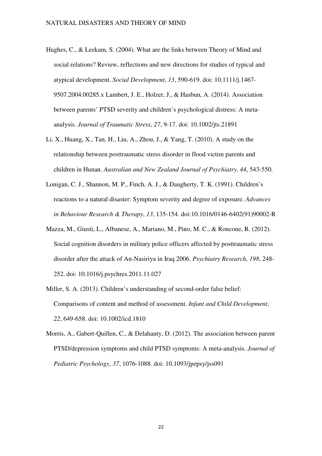- Hughes, C., & Leekam, S. (2004). What are the links between Theory of Mind and social relations? Review, reflections and new directions for studies of typical and atypical development. *Social Development*, *13*, 590-619. doi: 10.1111/j.1467- 9507.2004.00285.x Lambert, J. E., Holzer, J., & Hasbun, A. (2014). Association between parents' PTSD severity and children's psychological distress: A metaanalysis. *Journal of Traumatic Stress*, *27*, 9-17. doi: 10.1002/jts.21891
- Li, X., Huang, X., Tan, H., Liu, A., Zhou, J., & Yang, T. (2010). A study on the relationship between posttraumatic stress disorder in flood victim parents and children in Hunan. *Australian and New Zealand Journal of Psychiatry*, *44*, 543-550.
- Lonigan, C. J., Shannon, M. P., Finch, A. J., & Daugherty, T. K. (1991). Children's reactions to a natural disaster: Symptom severity and degree of exposure. *Advances in Behaviour Research & Therapy*, *13*, 135-154. doi:10.1016/0146-6402(91)90002-R
- Mazza, M., Giusti, L., Albanese, A., Mariano, M., Pino, M. C., & Roncone, R. (2012). Social cognition disorders in military police officers affected by posttraumatic stress disorder after the attack of An-Nasiriya in Iraq 2006. *Psychiatry Research*, *198*, 248- 252. doi: 10.1016/j.psychres.2011.11.027
- Miller, S. A. (2013). Children's understanding of second-order false belief: Comparisons of content and method of assessment. *Infant and Child Development*, *22*, 649-658. doi: 10.1002/icd.1810
- Morris, A., Gabert-Quillen, C., & Delahanty, D. (2012). The association between parent PTSD/depression symptoms and child PTSD symptoms: A meta-analysis. *Journal of Pediatric Psychology*, *37*, 1076-1088. doi: 10.1093/jpepsy/jss091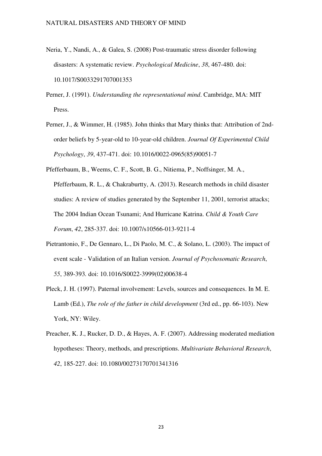- Neria, Y., Nandi, A., & Galea, S. (2008) Post-traumatic stress disorder following disasters: A systematic review. *Psychological Medicine*, *38*, 467-480. doi: 10.1017/S0033291707001353
- Perner, J. (1991). *Understanding the representational mind*. Cambridge, MA: MIT Press.
- Perner, J., & Wimmer, H. (1985). John thinks that Mary thinks that: Attribution of 2ndorder beliefs by 5-year-old to 10-year-old children. *Journal Of Experimental Child Psychology*, *39*, 437-471. doi: 10.1016/0022-0965(85)90051-7
- Pfefferbaum, B., Weems, C. F., Scott, B. G., Nitiema, P., Noffsinger, M. A., Pfefferbaum, R. L., & Chakraburtty, A. (2013). Research methods in child disaster studies: A review of studies generated by the September 11, 2001, terrorist attacks; The 2004 Indian Ocean Tsunami; And Hurricane Katrina. *Child & Youth Care Forum*, *42*, 285-337. doi: 10.1007/s10566-013-9211-4
- Pietrantonio, F., De Gennaro, L., Di Paolo, M. C., & Solano, L. (2003). The impact of event scale - Validation of an Italian version. *Journal of Psychosomatic Research*, *55*, 389-393*.* doi: 10.1016/S0022-3999(02)00638-4
- Pleck, J. H. (1997). Paternal involvement: Levels, sources and consequences. In M. E. Lamb (Ed.), *The role of the father in child development* (3rd ed., pp. 66-103). New York, NY: Wiley.
- Preacher, K. J., Rucker, D. D., & Hayes, A. F. (2007). Addressing moderated mediation hypotheses: Theory, methods, and prescriptions. *Multivariate Behavioral Research*, *42*, 185-227. doi: 10.1080/00273170701341316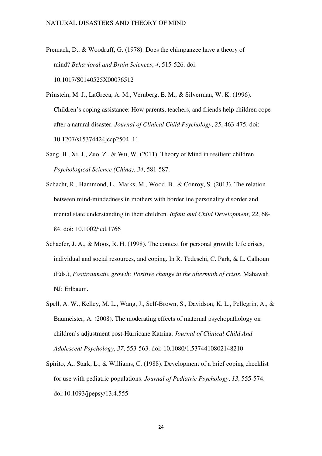- Premack, D., & Woodruff, G. (1978). Does the chimpanzee have a theory of mind? *Behavioral and Brain Sciences*, *4*, 515-526. doi: 10.1017/S0140525X00076512
- Prinstein, M. J., LaGreca, A. M., Vernberg, E. M., & Silverman, W. K. (1996). Children's coping assistance: How parents, teachers, and friends help children cope after a natural disaster. *Journal of Clinical Child Psychology*, *25*, 463-475. doi: 10.1207/s15374424jccp2504\_11
- Sang, B., Xi, J., Zuo, Z., & Wu, W. (2011). Theory of Mind in resilient children. *Psychological Science (China)*, *34*, 581-587.
- Schacht, R., Hammond, L., Marks, M., Wood, B., & Conroy, S. (2013). The relation between mind-mindedness in mothers with borderline personality disorder and mental state understanding in their children. *Infant and Child Development*, *22*, 68- 84. doi: 10.1002/icd.1766
- Schaefer, J. A., & Moos, R. H. (1998). The context for personal growth: Life crises, individual and social resources, and coping. In R. Tedeschi, C. Park, & L. Calhoun (Eds.), *Posttraumatic growth: Positive change in the aftermath of crisis*. Mahawah NJ: Erlbaum.
- Spell, A. W., Kelley, M. L., Wang, J., Self-Brown, S., Davidson, K. L., Pellegrin, A., & Baumeister, A. (2008). The moderating effects of maternal psychopathology on children's adjustment post-Hurricane Katrina. *Journal of Clinical Child And Adolescent Psychology*, *37*, 553-563. doi: 10.1080/1.5374410802148210
- Spirito, A., Stark, L., & Williams, C. (1988). Development of a brief coping checklist for use with pediatric populations. *Journal of Pediatric Psychology*, *13*, 555-574. doi:10.1093/jpepsy/13.4.555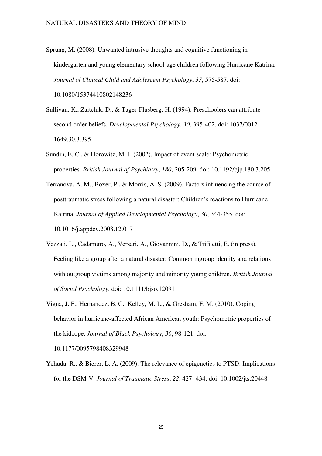Sprung, M. (2008). Unwanted intrusive thoughts and cognitive functioning in kindergarten and young elementary school-age children following Hurricane Katrina. *Journal of Clinical Child and Adolescent Psychology*, *37*, 575-587. doi:

10.1080/15374410802148236

- Sullivan, K., Zaitchik, D., & Tager-Flusberg, H. (1994). Preschoolers can attribute second order beliefs. *Developmental Psychology*, *30*, 395-402. doi: 1037/0012- 1649.30.3.395
- Sundin, E. C., & Horowitz, M. J. (2002). Impact of event scale: Psychometric properties. *British Journal of Psychiatry*, *180*, 205-209. doi: 10.1192/bjp.180.3.205
- Terranova, A. M., Boxer, P., & Morris, A. S. (2009). Factors influencing the course of posttraumatic stress following a natural disaster: Children's reactions to Hurricane Katrina. *Journal of Applied Developmental Psychology*, *30*, 344-355. doi: 10.1016/j.appdev.2008.12.017
- Vezzali, L., Cadamuro, A., Versari, A., Giovannini, D., & Trifiletti, E. (in press). Feeling like a group after a natural disaster: Common ingroup identity and relations with outgroup victims among majority and minority young children. *British Journal of Social Psychology*. doi: 10.1111/bjso.12091
- Vigna, J. F., Hernandez, B. C., Kelley, M. L., & Gresham, F. M. (2010). Coping behavior in hurricane-affected African American youth: Psychometric properties of the kidcope. *Journal of Black Psychology*, *36*, 98-121. doi:

10.1177/0095798408329948

Yehuda, R., & Bierer, L. A. (2009). The relevance of epigenetics to PTSD: Implications for the DSM-V. *Journal of Traumatic Stress*, *22*, 427- 434. doi: 10.1002/jts.20448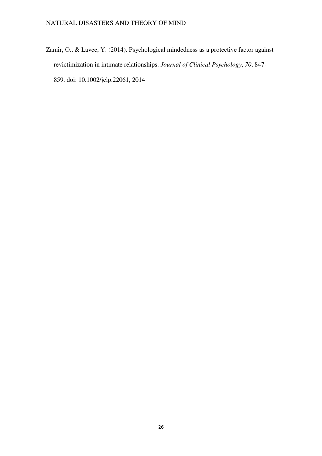Zamir, O., & Lavee, Y. (2014). Psychological mindedness as a protective factor against revictimization in intimate relationships. *Journal of Clinical Psychology*, *70*, 847- 859. doi: 10.1002/jclp.22061, 2014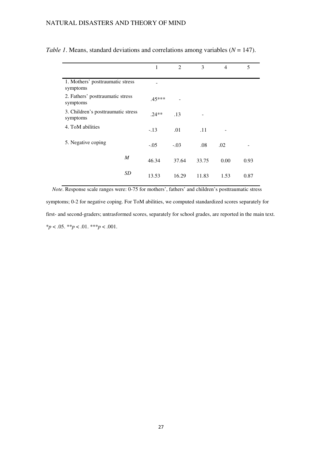|                                                | 1        | 2      | 3     | $\overline{4}$ | 5    |
|------------------------------------------------|----------|--------|-------|----------------|------|
| 1. Mothers' posttraumatic stress<br>symptoms   |          |        |       |                |      |
| 2. Fathers' posttraumatic stress<br>symptoms   | $.45***$ |        |       |                |      |
| 3. Children's posttraumatic stress<br>symptoms | $.24**$  | .13    |       |                |      |
| 4. ToM abilities                               | $-.13$   | .01    | .11   |                |      |
| 5. Negative coping                             | $-.05$   | $-.03$ | .08   | .02            |      |
| $\boldsymbol{M}$                               | 46.34    | 37.64  | 33.75 | 0.00           | 0.93 |
| <b>SD</b>                                      | 13.53    | 16.29  | 11.83 | 1.53           | 0.87 |

*Table 1*. Means, standard deviations and correlations among variables (*N* = 147).

 *Note*. Response scale ranges were: 0-75 for mothers', fathers' and children's posttraumatic stress symptoms; 0-2 for negative coping. For ToM abilities, we computed standardized scores separately for first- and second-graders; untrasformed scores, separately for school grades, are reported in the main text. \**p* < .05. \*\**p* < .01. \*\*\**p* < .001.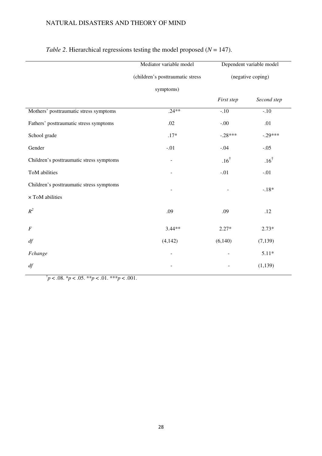|                                          | Mediator variable model          | Dependent variable model<br>(negative coping) |                 |  |
|------------------------------------------|----------------------------------|-----------------------------------------------|-----------------|--|
|                                          | (children's posttraumatic stress |                                               |                 |  |
|                                          | symptoms)                        |                                               |                 |  |
|                                          |                                  | First step                                    | Second step     |  |
| Mothers' posttraumatic stress symptoms   | $.24**$                          | $-.10$                                        | $-.10$          |  |
| Fathers' posttraumatic stress symptoms   | .02                              | $-.00.$                                       | .01             |  |
| School grade                             | $.17*$                           | $-.28***$                                     | $-.29***$       |  |
| Gender                                   | $-.01$                           | $-.04$                                        | $-.05$          |  |
| Children's posttraumatic stress symptoms | $\overline{\phantom{a}}$         | $.16^{\dagger}$                               | $.16^{\dagger}$ |  |
| ToM abilities                            |                                  | $-.01$                                        | $-.01$          |  |
| Children's posttraumatic stress symptoms |                                  |                                               | $-.18*$         |  |
| $\times$ ToM abilities                   |                                  |                                               |                 |  |
| $R^2$                                    | .09                              | .09                                           | .12             |  |
| $\boldsymbol{F}$                         | $3.44**$                         | $2.27*$                                       | $2.73*$         |  |
| df                                       | (4, 142)                         | (6,140)                                       | (7, 139)        |  |
| Fchange                                  |                                  |                                               | $5.11*$         |  |
| df                                       |                                  |                                               | (1, 139)        |  |

# *Table 2*. Hierarchical regressions testing the model proposed ( $N = 147$ ).

 $\phi^{\dagger} p < .08.$  \* $p < .05.$  \*\* $p < .01.$  \*\*\* $p < .001.$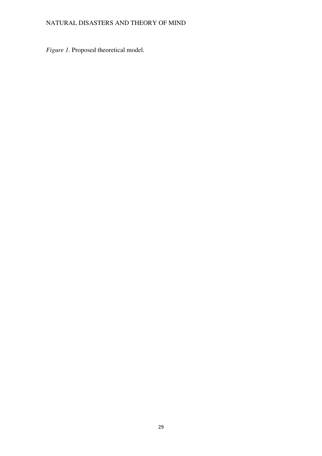*Figure 1*. Proposed theoretical model.